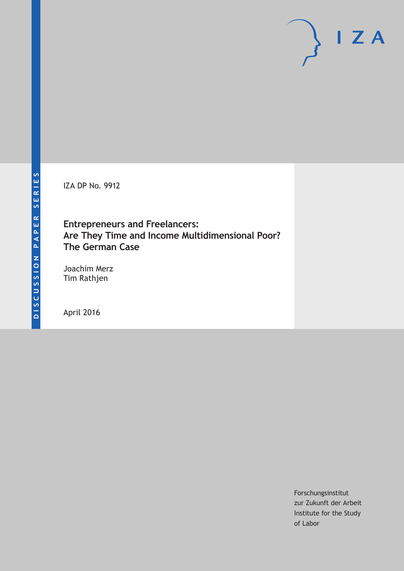IZA DP No. 9912

# **Entrepreneurs and Freelancers: Are They Time and Income Multidimensional Poor? The German Case**

Joachim Merz Tim Rathjen

April 2016

Forschungsinstitut zur Zukunft der Arbeit Institute for the Study of Labor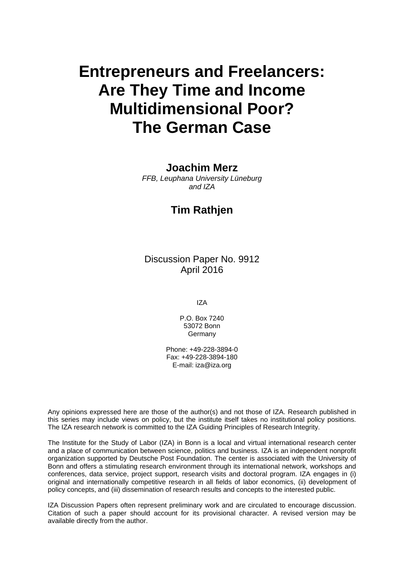# **Entrepreneurs and Freelancers: Are They Time and Income Multidimensional Poor? The German Case**

#### **Joachim Merz**

*FFB, Leuphana University Lüneburg and IZA* 

# **Tim Rathjen**

Discussion Paper No. 9912 April 2016

IZA

P.O. Box 7240 53072 Bonn Germany

Phone: +49-228-3894-0 Fax: +49-228-3894-180 E-mail: iza@iza.org

Any opinions expressed here are those of the author(s) and not those of IZA. Research published in this series may include views on policy, but the institute itself takes no institutional policy positions. The IZA research network is committed to the IZA Guiding Principles of Research Integrity.

The Institute for the Study of Labor (IZA) in Bonn is a local and virtual international research center and a place of communication between science, politics and business. IZA is an independent nonprofit organization supported by Deutsche Post Foundation. The center is associated with the University of Bonn and offers a stimulating research environment through its international network, workshops and conferences, data service, project support, research visits and doctoral program. IZA engages in (i) original and internationally competitive research in all fields of labor economics, (ii) development of policy concepts, and (iii) dissemination of research results and concepts to the interested public.

IZA Discussion Papers often represent preliminary work and are circulated to encourage discussion. Citation of such a paper should account for its provisional character. A revised version may be available directly from the author.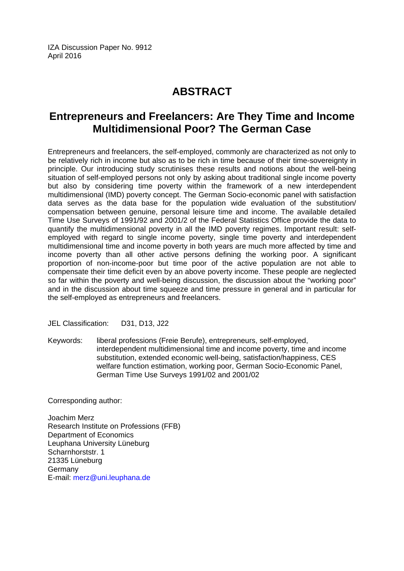IZA Discussion Paper No. 9912 April 2016

# **ABSTRACT**

# **Entrepreneurs and Freelancers: Are They Time and Income Multidimensional Poor? The German Case**

Entrepreneurs and freelancers, the self-employed, commonly are characterized as not only to be relatively rich in income but also as to be rich in time because of their time-sovereignty in principle. Our introducing study scrutinises these results and notions about the well-being situation of self-employed persons not only by asking about traditional single income poverty but also by considering time poverty within the framework of a new interdependent multidimensional (IMD) poverty concept. The German Socio-economic panel with satisfaction data serves as the data base for the population wide evaluation of the substitution/ compensation between genuine, personal leisure time and income. The available detailed Time Use Surveys of 1991/92 and 2001/2 of the Federal Statistics Office provide the data to quantify the multidimensional poverty in all the IMD poverty regimes. Important result: selfemployed with regard to single income poverty, single time poverty and interdependent multidimensional time and income poverty in both years are much more affected by time and income poverty than all other active persons defining the working poor. A significant proportion of non-income-poor but time poor of the active population are not able to compensate their time deficit even by an above poverty income. These people are neglected so far within the poverty and well-being discussion, the discussion about the "working poor" and in the discussion about time squeeze and time pressure in general and in particular for the self-employed as entrepreneurs and freelancers.

JEL Classification: D31, D13, J22

Keywords: liberal professions (Freie Berufe), entrepreneurs, self-employed, interdependent multidimensional time and income poverty, time and income substitution, extended economic well-being, satisfaction/happiness, CES welfare function estimation, working poor, German Socio-Economic Panel, German Time Use Surveys 1991/02 and 2001/02

Corresponding author:

Joachim Merz Research Institute on Professions (FFB) Department of Economics Leuphana University Lüneburg Scharnhorststr. 1 21335 Lüneburg Germany E-mail: merz@uni.leuphana.de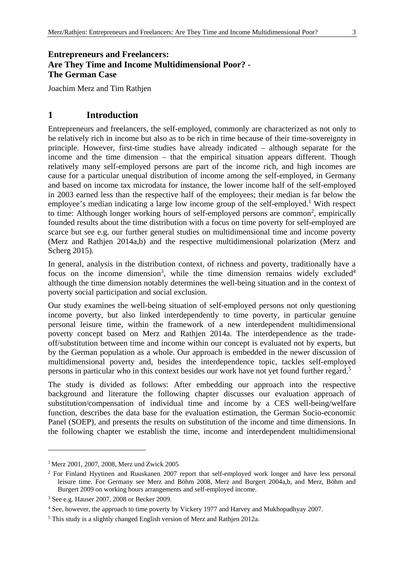## **Entrepreneurs and Freelancers: Are They Time and Income Multidimensional Poor? - The German Case**

Joachim Merz and Tim Rathjen

## **1 Introduction**

Entrepreneurs and freelancers, the self-employed, commonly are characterized as not only to be relatively rich in income but also as to be rich in time because of their time-sovereignty in principle. However, first-time studies have already indicated – although separate for the income and the time dimension – that the empirical situation appears different. Though relatively many self-employed persons are part of the income rich, and high incomes are cause for a particular unequal distribution of income among the self-employed, in Germany and based on income tax microdata for instance, the lower income half of the self-employed in 2003 earned less than the respective half of the employees; their median is far below the employee's median indicating a large low income group of the self-employed.<sup>1</sup> With respect to time: Although longer working hours of self-employed persons are common<sup>2</sup>, empirically founded results about the time distribution with a focus on time poverty for self-employed are scarce but see e.g. our further general studies on multidimensional time and income poverty (Merz and Rathjen 2014a,b) and the respective multidimensional polarization (Merz and Scherg 2015).

In general, analysis in the distribution context, of richness and poverty, traditionally have a focus on the income dimension<sup>3</sup>, while the time dimension remains widely excluded<sup>4</sup> although the time dimension notably determines the well-being situation and in the context of poverty social participation and social exclusion.

Our study examines the well-being situation of self-employed persons not only questioning income poverty, but also linked interdependently to time poverty, in particular genuine personal leisure time, within the framework of a new interdependent multidimensional poverty concept based on Merz and Rathjen 2014a. The interdependence as the tradeoff/substitution between time and income within our concept is evaluated not by experts, but by the German population as a whole. Our approach is embedded in the newer discussion of multidimensional poverty and, besides the interdependence topic, tackles self-employed persons in particular who in this context besides our work have not yet found further regard.5

The study is divided as follows: After embedding our approach into the respective background and literature the following chapter discusses our evaluation approach of substitution/compensation of individual time and income by a CES well-being/welfare function, describes the data base for the evaluation estimation, the German Socio-economic Panel (SOEP), and presents the results on substitution of the income and time dimensions. In the following chapter we establish the time, income and interdependent multidimensional

<sup>&</sup>lt;sup>1</sup> Merz 2001, 2007, 2008, Merz und Zwick 2005

<sup>&</sup>lt;sup>2</sup> For Finland Hyytinen and Ruuskanen 2007 report that self-employed work longer and have less personal leisure time. For Germany see Merz and Böhm 2008, Merz and Burgert 2004a,b, and Merz, Böhm and Burgert 2009 on working hours arrangements and self-employed income.

<sup>3</sup> See e.g. Hauser 2007, 2008 or Becker 2009.

<sup>&</sup>lt;sup>4</sup> See, however, the approach to time poverty by Vickery 1977 and Harvey and Mukhopadhyay 2007.

<sup>&</sup>lt;sup>5</sup> This study is a slightly changed English version of Merz and Rathjen 2012a.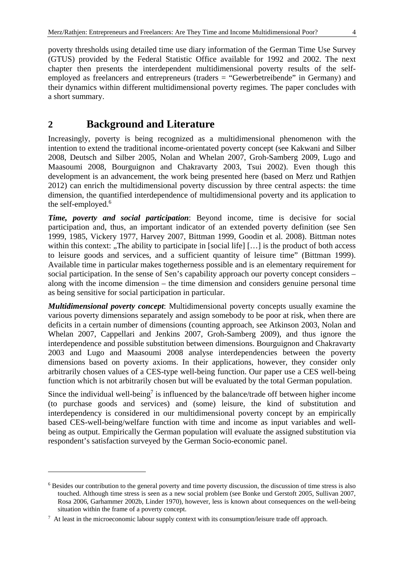poverty thresholds using detailed time use diary information of the German Time Use Survey (GTUS) provided by the Federal Statistic Office available for 1992 and 2002. The next chapter then presents the interdependent multidimensional poverty results of the selfemployed as freelancers and entrepreneurs (traders = "Gewerbetreibende" in Germany) and their dynamics within different multidimensional poverty regimes. The paper concludes with a short summary.

# **2 Background and Literature**

Increasingly, poverty is being recognized as a multidimensional phenomenon with the intention to extend the traditional income-orientated poverty concept (see Kakwani and Silber 2008, Deutsch and Silber 2005, Nolan and Whelan 2007, Groh-Samberg 2009, Lugo and Maasoumi 2008, Bourguignon and Chakravarty 2003, Tsui 2002). Even though this development is an advancement, the work being presented here (based on Merz und Rathjen 2012) can enrich the multidimensional poverty discussion by three central aspects: the time dimension, the quantified interdependence of multidimensional poverty and its application to the self-employed.<sup>6</sup>

*Time, poverty and social participation*: Beyond income, time is decisive for social participation and, thus, an important indicator of an extended poverty definition (see Sen 1999, 1985, Vickery 1977, Harvey 2007, Bittman 1999, Goodin et al. 2008). Bittman notes within this context: "The ability to participate in [social life]  $[...]$  is the product of both access to leisure goods and services, and a sufficient quantity of leisure time" (Bittman 1999). Available time in particular makes togetherness possible and is an elementary requirement for social participation. In the sense of Sen's capability approach our poverty concept considers – along with the income dimension – the time dimension and considers genuine personal time as being sensitive for social participation in particular.

*Multidimensional poverty concept*: Multidimensional poverty concepts usually examine the various poverty dimensions separately and assign somebody to be poor at risk, when there are deficits in a certain number of dimensions (counting approach, see Atkinson 2003, Nolan and Whelan 2007, Cappellari and Jenkins 2007, Groh-Samberg 2009), and thus ignore the interdependence and possible substitution between dimensions. Bourguignon and Chakravarty 2003 and Lugo and Maasoumi 2008 analyse interdependencies between the poverty dimensions based on poverty axioms. In their applications, however, they consider only arbitrarily chosen values of a CES-type well-being function. Our paper use a CES well-being function which is not arbitrarily chosen but will be evaluated by the total German population.

Since the individual well-being<sup>7</sup> is influenced by the balance/trade off between higher income (to purchase goods and services) and (some) leisure, the kind of substitution and interdependency is considered in our multidimensional poverty concept by an empirically based CES-well-being/welfare function with time and income as input variables and wellbeing as output. Empirically the German population will evaluate the assigned substitution via respondent's satisfaction surveyed by the German Socio-economic panel.

<u>.</u>

<sup>&</sup>lt;sup>6</sup> Besides our contribution to the general poverty and time poverty discussion, the discussion of time stress is also touched. Although time stress is seen as a new social problem (see Bonke und Gerstoft 2005, Sullivan 2007, Rosa 2006, Garhammer 2002b, Linder 1970), however, less is known about consequences on the well-being situation within the frame of a poverty concept.

 $<sup>7</sup>$  At least in the microeconomic labour supply context with its consumption/leisure trade off approach.</sup>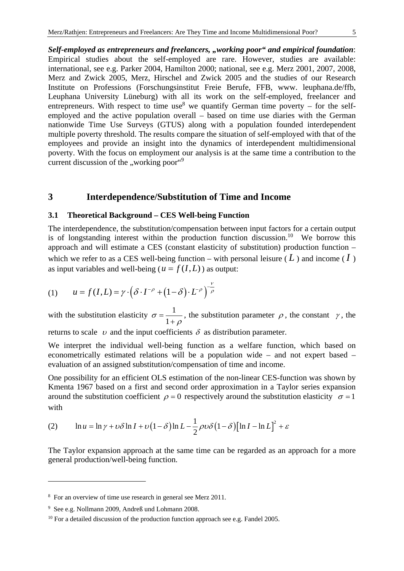*Self-employed as entrepreneurs and freelancers, "working poor" and empirical foundation*: Empirical studies about the self-employed are rare. However, studies are available: international, see e.g. Parker 2004, Hamilton 2000; national, see e.g. Merz 2001, 2007, 2008, Merz and Zwick 2005, Merz, Hirschel and Zwick 2005 and the studies of our Research Institute on Professions (Forschungsinstitut Freie Berufe, FFB, www. leuphana.de/ffb, Leuphana University Lüneburg) with all its work on the self-employed, freelancer and entrepreneurs. With respect to time use<sup>8</sup> we quantify German time poverty – for the selfemployed and the active population overall – based on time use diaries with the German nationwide Time Use Surveys (GTUS) along with a population founded interdependent multiple poverty threshold. The results compare the situation of self-employed with that of the employees and provide an insight into the dynamics of interdependent multidimensional poverty. With the focus on employment our analysis is at the same time a contribution to the current discussion of the "working poor"<sup>9</sup>

### **3 Interdependence/Substitution of Time and Income**

#### **3.1 Theoretical Background – CES Well-being Function**

The interdependence, the substitution/compensation between input factors for a certain output is of longstanding interest within the production function discussion.<sup>10</sup> We borrow this approach and will estimate a CES (constant elasticity of substitution) production function – which we refer to as a CES well-being function – with personal leisure  $(L)$  and income  $(I)$ as input variables and well-being ( $u = f(I, L)$ ) as output:

(1) 
$$
u = f(I, L) = \gamma \cdot (\delta \cdot I^{-\rho} + (1 - \delta) \cdot L^{-\rho})^{-\frac{\nu}{\rho}}
$$

with the substitution elasticity  $\sigma = \frac{1}{\sqrt{1-\rho}}$  $\sigma = \frac{1}{1+\rho}$ , the substitution parameter  $\rho$ , the constant  $\gamma$ , the

returns to scale  $\upsilon$  and the input coefficients  $\delta$  as distribution parameter.

We interpret the individual well-being function as a welfare function, which based on econometrically estimated relations will be a population wide – and not expert based – evaluation of an assigned substitution/compensation of time and income.

One possibility for an efficient OLS estimation of the non-linear CES-function was shown by Kmenta 1967 based on a first and second order approximation in a Taylor series expansion around the substitution coefficient  $\rho = 0$  respectively around the substitution elasticity  $\sigma = 1$ with

(2) 
$$
\ln u = \ln \gamma + \omega \delta \ln I + \omega \left(1 - \delta\right) \ln L - \frac{1}{2} \rho \omega \delta \left(1 - \delta\right) \left[\ln I - \ln L\right]^2 + \varepsilon
$$

The Taylor expansion approach at the same time can be regarded as an approach for a more general production/well-being function.

<sup>&</sup>lt;sup>8</sup> For an overview of time use research in general see Merz 2011.

<sup>9</sup> See e.g. Nollmann 2009, Andreß und Lohmann 2008.

<sup>&</sup>lt;sup>10</sup> For a detailed discussion of the production function approach see e.g. Fandel 2005.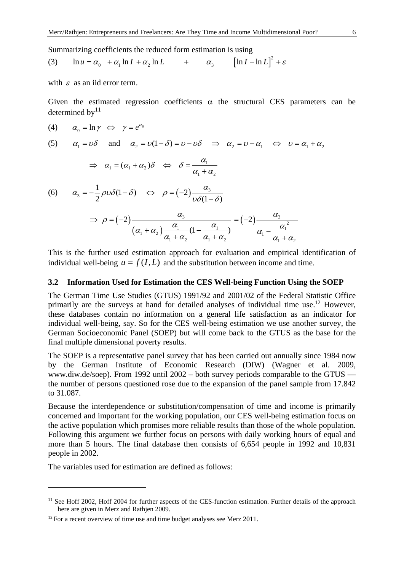Summarizing coefficients the reduced form estimation is using

(3) 
$$
\ln u = \alpha_0 + \alpha_1 \ln I + \alpha_2 \ln L + \alpha_3 \left[\ln I - \ln L\right]^2 + \varepsilon
$$

with  $\varepsilon$  as an iid error term.

Given the estimated regression coefficients  $\alpha$  the structural CES parameters can be determined by $11$ 

$$
(4) \qquad \alpha_0 = \ln \gamma \iff \gamma = e^{\alpha_0}
$$

(5) 
$$
\alpha_1 = \nu \delta
$$
 and  $\alpha_2 = \nu(1-\delta) = \nu - \nu \delta$   $\Rightarrow \alpha_2 = \nu - \alpha_1 \Leftrightarrow \nu = \alpha_1 + \alpha_2$ 

$$
\Rightarrow \alpha_1 = (\alpha_1 + \alpha_2)\delta \quad \Leftrightarrow \quad \delta = \frac{\alpha_1}{\alpha_1 + \alpha_2}
$$

(6) 
$$
\alpha_3 = -\frac{1}{2}\rho v \delta(1-\delta) \iff \rho = (-2)\frac{\alpha_3}{v \delta(1-\delta)}
$$

$$
\Rightarrow \rho = (-2)\frac{\alpha_3}{(\alpha_1 + \alpha_2)\frac{\alpha_1}{\alpha_1 + \alpha_2}(1 - \frac{\alpha_1}{\alpha_1 + \alpha_2})} = (-2)\frac{\alpha_3}{\alpha_1 - \frac{\alpha_1^2}{\alpha_1 + \alpha_2}}
$$

This is the further used estimation approach for evaluation and empirical identification of individual well-being  $u = f(I, L)$  and the substitution between income and time.

#### **3.2 Information Used for Estimation the CES Well-being Function Using the SOEP**

The German Time Use Studies (GTUS) 1991/92 and 2001/02 of the Federal Statistic Office primarily are the surveys at hand for detailed analyses of individual time use.12 However, these databases contain no information on a general life satisfaction as an indicator for individual well-being, say. So for the CES well-being estimation we use another survey, the German Socioeconomic Panel (SOEP) but will come back to the GTUS as the base for the final multiple dimensional poverty results.

The SOEP is a representative panel survey that has been carried out annually since 1984 now by the German Institute of Economic Research (DIW) (Wagner et al. 2009, www.diw.de/soep). From 1992 until 2002 – both survey periods comparable to the GTUS –– the number of persons questioned rose due to the expansion of the panel sample from 17.842 to 31.087.

Because the interdependence or substitution/compensation of time and income is primarily concerned and important for the working population, our CES well-being estimation focus on the active population which promises more reliable results than those of the whole population. Following this argument we further focus on persons with daily working hours of equal and more than 5 hours. The final database then consists of 6,654 people in 1992 and 10,831 people in 2002.

The variables used for estimation are defined as follows:

<sup>&</sup>lt;sup>11</sup> See Hoff 2002, Hoff 2004 for further aspects of the CES-function estimation. Further details of the approach here are given in Merz and Rathjen 2009.

<sup>&</sup>lt;sup>12</sup> For a recent overview of time use and time budget analyses see Merz 2011.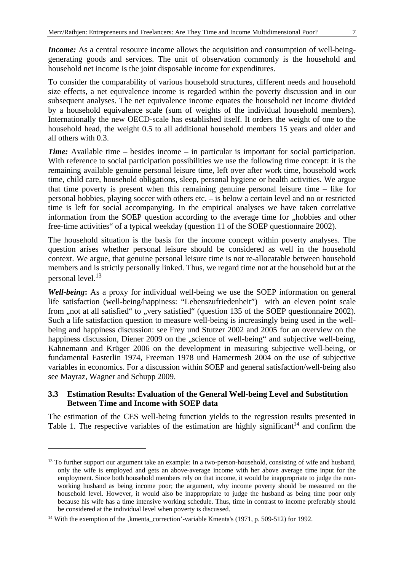*Income:* As a central resource income allows the acquisition and consumption of well-beinggenerating goods and services. The unit of observation commonly is the household and household net income is the joint disposable income for expenditures.

To consider the comparability of various household structures, different needs and household size effects, a net equivalence income is regarded within the poverty discussion and in our subsequent analyses. The net equivalence income equates the household net income divided by a household equivalence scale (sum of weights of the individual household members). Internationally the new OECD-scale has established itself. It orders the weight of one to the household head, the weight 0.5 to all additional household members 15 years and older and all others with 0.3.

*Time:* Available time – besides income – in particular is important for social participation. With reference to social participation possibilities we use the following time concept: it is the remaining available genuine personal leisure time, left over after work time, household work time, child care, household obligations, sleep, personal hygiene or health activities. We argue that time poverty is present when this remaining genuine personal leisure time – like for personal hobbies, playing soccer with others etc. – is below a certain level and no or restricted time is left for social accompanying. In the empirical analyses we have taken correlative information from the SOEP question according to the average time for "hobbies and other free-time activities" of a typical weekday (question 11 of the SOEP questionnaire 2002).

The household situation is the basis for the income concept within poverty analyses. The question arises whether personal leisure should be considered as well in the household context. We argue, that genuine personal leisure time is not re-allocatable between household members and is strictly personally linked. Thus, we regard time not at the household but at the personal level.13

*Well-being***:** As a proxy for individual well-being we use the SOEP information on general life satisfaction (well-being/happiness: "Lebenszufriedenheit") with an eleven point scale from ,,not at all satisfied to ,,very satisfied (question 135 of the SOEP questionnaire 2002). Such a life satisfaction question to measure well-being is increasingly being used in the wellbeing and happiness discussion: see Frey und Stutzer 2002 and 2005 for an overview on the happiness discussion, Diener 2009 on the "science of well-being" and subjective well-being, Kahnemann and Krüger 2006 on the development in measuring subjective well-being, or fundamental Easterlin 1974, Freeman 1978 und Hamermesh 2004 on the use of subjective variables in economics. For a discussion within SOEP and general satisfaction/well-being also see Mayraz, Wagner and Schupp 2009.

#### **3.3 Estimation Results: Evaluation of the General Well-being Level and Substitution Between Time and Income with SOEP data**

The estimation of the CES well-being function yields to the regression results presented in Table 1. The respective variables of the estimation are highly significant<sup>14</sup> and confirm the

<u>.</u>

<sup>&</sup>lt;sup>13</sup> To further support our argument take an example: In a two-person-household, consisting of wife and husband, only the wife is employed and gets an above-average income with her above average time input for the employment. Since both household members rely on that income, it would be inappropriate to judge the nonworking husband as being income poor; the argument, why income poverty should be measured on the household level. However, it would also be inappropriate to judge the husband as being time poor only because his wife has a time intensive working schedule. Thus, time in contrast to income preferably should be considered at the individual level when poverty is discussed.

<sup>&</sup>lt;sup>14</sup> With the exemption of the ,kmenta\_correction'-variable Kmenta's (1971, p. 509-512) for 1992.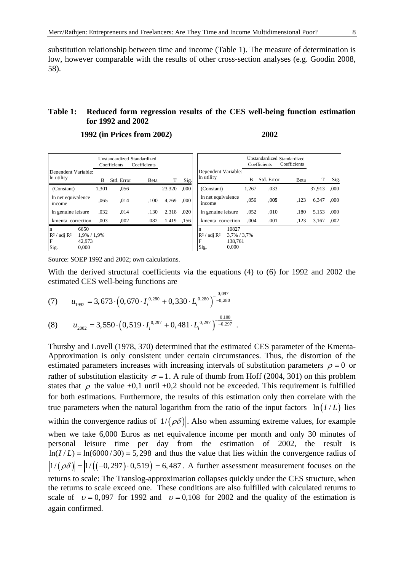substitution relationship between time and income (Table 1). The measure of determination is low, however comparable with the results of other cross-section analyses (e.g. Goodin 2008, 58).

#### **Table 1: Reduced form regression results of the CES well-being function estimation for 1992 and 2002**

 **1992 (in Prices from 2002) 2002** 

|                                                                                            |       | Unstandardized Standardized<br>Coefficients | Coefficients |        |      |                                                                                 |       | Coefficients | Unstandardized Standardized<br>Coefficients |        |      |
|--------------------------------------------------------------------------------------------|-------|---------------------------------------------|--------------|--------|------|---------------------------------------------------------------------------------|-------|--------------|---------------------------------------------|--------|------|
| Dependent Variable:<br>In utility                                                          | B     | Std. Error                                  | Beta         | T      | Sig. | Dependent Variable:<br>In utility                                               | B     | Std. Error   | Beta                                        | T      | Sig. |
| (Constant)                                                                                 | 1.301 | ,056                                        |              | 23,320 | .000 | (Constant)                                                                      | 1,267 | ,033         |                                             | 37,913 | ,000 |
| In net equivalence<br>income                                                               | ,065  | ,014                                        | .100         | 4,769  | ,000 | In net equivalence<br>income                                                    | .056  | ,009         | ,123                                        | 6,347  | ,000 |
| In genuine leisure                                                                         | ,032  | ,014                                        | ,130         | 2,318  | ,020 | In genuine leisure                                                              | ,052  | ,010         | ,180                                        | 5,153  | ,000 |
| kmenta correction                                                                          | .003  | ,002                                        | ,082         | 1,419  | ,156 | kmenta correction                                                               | ,004  | ,001         | ,123                                        | 3,167  | ,002 |
| 6650<br>n<br>$R^2/$<br>' adi R <sup>2</sup><br>1,9% / 1,9%<br>F<br>42.973<br>Sig.<br>0,000 |       |                                             |              |        |      | 10827<br>n<br>$R^2$ / adj $R^2$<br>3,7% / 3,7%<br>F<br>138.761<br>Sig.<br>0,000 |       |              |                                             |        |      |

With the derived structural coefficients via the equations (4) to (6) for 1992 and 2002 the estimated CES well-being functions are

(7) 
$$
u_{1992} = 3,673 \cdot \left(0,670 \cdot I_i^{0,280} + 0,330 \cdot L_i^{0,280}\right)^{-\frac{0,097}{-0,280}}
$$

(8) 
$$
u_{2002} = 3,550 \cdot \left(0,519 \cdot I_i^{0,297} + 0,481 \cdot L_i^{0,297}\right)^{-\frac{0,108}{-0,297}}.
$$

Thursby and Lovell (1978, 370) determined that the estimated CES parameter of the Kmenta-Approximation is only consistent under certain circumstances. Thus, the distortion of the estimated parameters increases with increasing intervals of substitution parameters  $\rho = 0$  or rather of substitution elasticity  $\sigma = 1$ . A rule of thumb from Hoff (2004, 301) on this problem states that  $\rho$  the value +0,1 until +0,2 should not be exceeded. This requirement is fulfilled for both estimations. Furthermore, the results of this estimation only then correlate with the true parameters when the natural logarithm from the ratio of the input factors  $\ln (I/L)$  lies within the convergence radius of  $|1/(\rho\delta)|$ . Also when assuming extreme values, for example when we take 6,000 Euros as net equivalence income per month and only 30 minutes of personal leisure time per day from the estimation of 2002, the result is  $ln(I/L) = ln(6000/30) = 5,298$  and thus the value that lies within the convergence radius of  $|1/(\rho\delta)| = |1/((-0.297) \cdot 0.519)| = 6,487$ . A further assessment measurement focuses on the returns to scale: The Translog-approximation collapses quickly under the CES structure, when the returns to scale exceed one. These conditions are also fulfilled with calculated returns to scale of  $v = 0.097$  for 1992 and  $v = 0.108$  for 2002 and the quality of the estimation is again confirmed.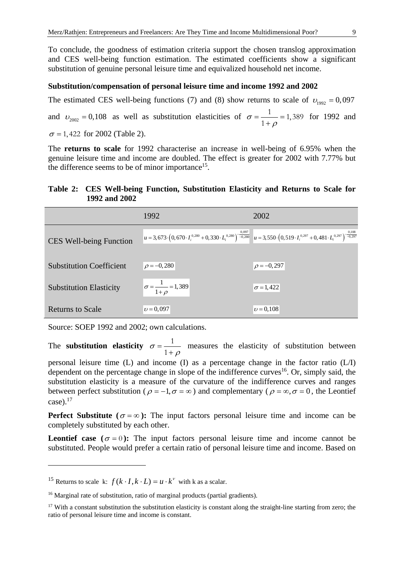To conclude, the goodness of estimation criteria support the chosen translog approximation and CES well-being function estimation. The estimated coefficients show a significant substitution of genuine personal leisure time and equivalized household net income.

#### **Substitution/compensation of personal leisure time and income 1992 and 2002**

The estimated CES well-being functions (7) and (8) show returns to scale of  $v_{1002} = 0,097$ and  $v_{2002} = 0,108$  as well as substitution elasticities of  $\sigma = \frac{1}{1+\rho} = 1,389$  for 1992 and  $\sigma$  = 1, 422 for 2002 (Table 2).

The **returns to scale** for 1992 characterise an increase in well-being of 6.95% when the genuine leisure time and income are doubled. The effect is greater for 2002 with 7.77% but the difference seems to be of minor importance<sup>15</sup>.

#### **Table 2: CES Well-being Function, Substitution Elasticity and Returns to Scale for 1992 and 2002**

|                                 | 1992                                                                                                                                                             | 2002             |
|---------------------------------|------------------------------------------------------------------------------------------------------------------------------------------------------------------|------------------|
| <b>CES Well-being Function</b>  | $u = 3,673 \cdot (0,670 \cdot I_i^{0.280} + 0,330 \cdot I_i^{0.280})^{-0.097}$<br>$u = 3,550 \cdot (0,519 \cdot I_i^{0.297} + 0,481 \cdot I_i^{0.297})^{-0.108}$ |                  |
| <b>Substitution Coefficient</b> | $\rho = -0,280$                                                                                                                                                  | $\rho = -0.297$  |
|                                 |                                                                                                                                                                  |                  |
| <b>Substitution Elasticity</b>  | $\sigma = \frac{1}{1+\rho} = 1,389$                                                                                                                              | $\sigma = 1,422$ |
| <b>Returns to Scale</b>         | $v = 0.097$                                                                                                                                                      | $\nu = 0.108$    |

Source: SOEP 1992 and 2002; own calculations.

The **substitution elasticity**  $\sigma = \frac{1}{1+\rho}$  measures the elasticity of substitution between

personal leisure time (L) and income (I) as a percentage change in the factor ratio (L/I) dependent on the percentage change in slope of the indifference curves<sup>16</sup>. Or, simply said, the substitution elasticity is a measure of the curvature of the indifference curves and ranges between perfect substitution ( $\rho = -1, \sigma = \infty$ ) and complementary ( $\rho = \infty, \sigma = 0$ , the Leontief case). $17$ 

**Perfect Substitute (** $\sigma = \infty$ **):** The input factors personal leisure time and income can be completely substituted by each other.

**Leontief case**  $(\sigma = 0)$ : The input factors personal leisure time and income cannot be substituted. People would prefer a certain ratio of personal leisure time and income. Based on

<sup>&</sup>lt;sup>15</sup> Returns to scale k:  $f(k \cdot I, k \cdot L) = u \cdot k^v$  with k as a scalar.

<sup>&</sup>lt;sup>16</sup> Marginal rate of substitution, ratio of marginal products (partial gradients).

<sup>&</sup>lt;sup>17</sup> With a constant substitution the substitution elasticity is constant along the straight-line starting from zero; the ratio of personal leisure time and income is constant.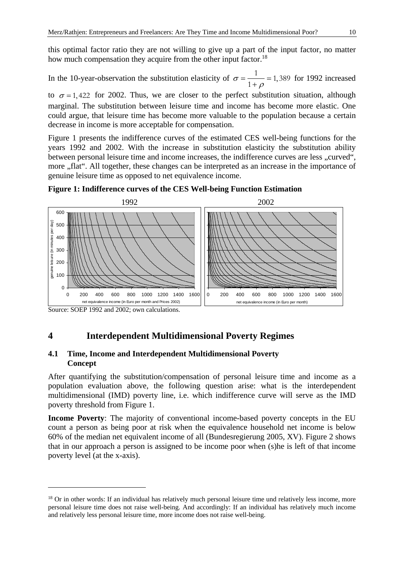this optimal factor ratio they are not willing to give up a part of the input factor, no matter how much compensation they acquire from the other input factor.<sup>18</sup>

# In the 10-year-observation the substitution elasticity of  $\sigma = \frac{1}{1+\rho} = 1,389$  for 1992 increased

to  $\sigma = 1,422$  for 2002. Thus, we are closer to the perfect substitution situation, although marginal. The substitution between leisure time and income has become more elastic. One could argue, that leisure time has become more valuable to the population because a certain decrease in income is more acceptable for compensation.

Figure 1 presents the indifference curves of the estimated CES well-being functions for the years 1992 and 2002. With the increase in substitution elasticity the substitution ability between personal leisure time and income increases, the indifference curves are less "curved", more "flat". All together, these changes can be interpreted as an increase in the importance of genuine leisure time as opposed to net equivalence income.





Source: SOEP 1992 and 2002; own calculations.

1

## **4 Interdependent Multidimensional Poverty Regimes**

#### **4.1 Time, Income and Interdependent Multidimensional Poverty Concept**

After quantifying the substitution/compensation of personal leisure time and income as a population evaluation above, the following question arise: what is the interdependent multidimensional (IMD) poverty line, i.e. which indifference curve will serve as the IMD poverty threshold from Figure 1.

**Income Poverty**: The majority of conventional income-based poverty concepts in the EU count a person as being poor at risk when the equivalence household net income is below 60% of the median net equivalent income of all (Bundesregierung 2005, XV). Figure 2 shows that in our approach a person is assigned to be income poor when (s)he is left of that income poverty level (at the x-axis).

<sup>&</sup>lt;sup>18</sup> Or in other words: If an individual has relatively much personal leisure time und relatively less income, more personal leisure time does not raise well-being. And accordingly: If an individual has relatively much income and relatively less personal leisure time, more income does not raise well-being.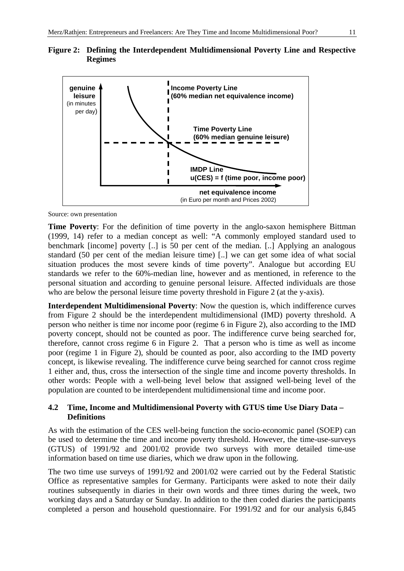



Source: own presentation

**Time Poverty**: For the definition of time poverty in the anglo-saxon hemisphere Bittman (1999, 14) refer to a median concept as well: "A commonly employed standard used to benchmark [income] poverty [..] is 50 per cent of the median. [..] Applying an analogous standard (50 per cent of the median leisure time) [..] we can get some idea of what social situation produces the most severe kinds of time poverty". Analogue but according EU standards we refer to the 60%-median line, however and as mentioned, in reference to the personal situation and according to genuine personal leisure. Affected individuals are those who are below the personal leisure time poverty threshold in Figure 2 (at the y-axis).

**Interdependent Multidimensional Poverty**: Now the question is, which indifference curves from Figure 2 should be the interdependent multidimensional (IMD) poverty threshold. A person who neither is time nor income poor (regime 6 in Figure 2), also according to the IMD poverty concept, should not be counted as poor. The indifference curve being searched for, therefore, cannot cross regime 6 in Figure 2. That a person who is time as well as income poor (regime 1 in Figure 2), should be counted as poor, also according to the IMD poverty concept, is likewise revealing. The indifference curve being searched for cannot cross regime 1 either and, thus, cross the intersection of the single time and income poverty thresholds. In other words: People with a well-being level below that assigned well-being level of the population are counted to be interdependent multidimensional time and income poor.

#### **4.2 Time, Income and Multidimensional Poverty with GTUS time Use Diary Data – Definitions**

As with the estimation of the CES well-being function the socio-economic panel (SOEP) can be used to determine the time and income poverty threshold. However, the time-use-surveys (GTUS) of 1991/92 and 2001/02 provide two surveys with more detailed time-use information based on time use diaries, which we draw upon in the following.

The two time use surveys of 1991/92 and 2001/02 were carried out by the Federal Statistic Office as representative samples for Germany. Participants were asked to note their daily routines subsequently in diaries in their own words and three times during the week, two working days and a Saturday or Sunday. In addition to the then coded diaries the participants completed a person and household questionnaire. For 1991/92 and for our analysis 6,845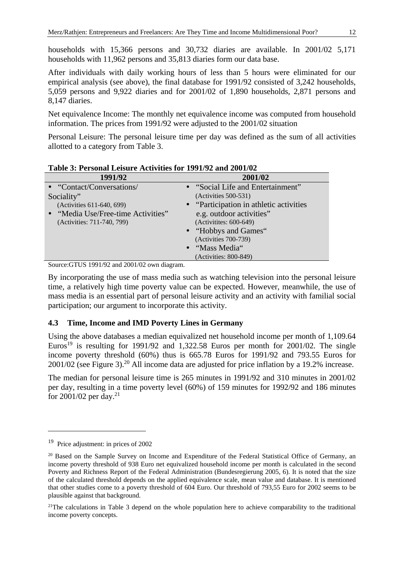households with 15,366 persons and 30,732 diaries are available. In 2001/02 5,171 households with 11,962 persons and 35,813 diaries form our data base.

After individuals with daily working hours of less than 5 hours were eliminated for our empirical analysis (see above), the final database for 1991/92 consisted of 3,242 households, 5,059 persons and 9,922 diaries and for 2001/02 of 1,890 households, 2,871 persons and 8,147 diaries.

Net equivalence Income: The monthly net equivalence income was computed from household information. The prices from 1991/92 were adjusted to the 2001/02 situation

Personal Leisure: The personal leisure time per day was defined as the sum of all activities allotted to a category from Table 3.

| 1991/92                            | 2001/02                                  |
|------------------------------------|------------------------------------------|
| • "Contact/Conversations/          | • "Social Life and Entertainment"        |
| Sociality"                         | $(Activities 500-531)$                   |
| (Activities 611-640, 699)          | • "Participation in athletic activities" |
| • "Media Use/Free-time Activities" | e.g. outdoor activities"                 |
| (Activities: 711-740, 799)         | (Activitites: 600-649)                   |
|                                    | • "Hobbys and Games"                     |
|                                    | (Activities 700-739)                     |
|                                    | • "Mass Media"                           |
|                                    | (Activities: 800-849)                    |

**Table 3: Personal Leisure Activities for 1991/92 and 2001/02** 

Source:GTUS 1991/92 and 2001/02 own diagram.

By incorporating the use of mass media such as watching television into the personal leisure time, a relatively high time poverty value can be expected. However, meanwhile, the use of mass media is an essential part of personal leisure activity and an activity with familial social participation; our argument to incorporate this activity.

#### **4.3 Time, Income and IMD Poverty Lines in Germany**

Using the above databases a median equivalized net household income per month of 1,109.64 Euros<sup>19</sup> is resulting for 1991/92 and 1,322.58 Euros per month for 2001/02. The single income poverty threshold (60%) thus is 665.78 Euros for 1991/92 and 793.55 Euros for  $2001/02$  (see Figure 3).<sup>20</sup> All income data are adjusted for price inflation by a 19.2% increase.

The median for personal leisure time is 265 minutes in 1991/92 and 310 minutes in 2001/02 per day, resulting in a time poverty level (60%) of 159 minutes for 1992/92 and 186 minutes for 2001/02 per day.<sup>21</sup>

<sup>19</sup> Price adjustment: in prices of 2002

<sup>&</sup>lt;sup>20</sup> Based on the Sample Survey on Income and Expenditure of the Federal Statistical Office of Germany, an income poverty threshold of 938 Euro net equivalized household income per month is calculated in the second Poverty and Richness Report of the Federal Administration (Bundesregierung 2005, 6). It is noted that the size of the calculated threshold depends on the applied equivalence scale, mean value and database. It is mentioned that other studies come to a poverty threshold of 604 Euro. Our threshold of 793,55 Euro for 2002 seems to be plausible against that background.

<sup>&</sup>lt;sup>21</sup>The calculations in Table 3 depend on the whole population here to achieve comparability to the traditional income poverty concepts.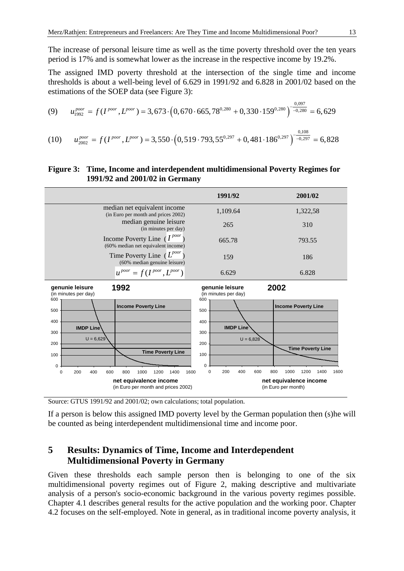The increase of personal leisure time as well as the time poverty threshold over the ten years period is 17% and is somewhat lower as the increase in the respective income by 19.2%.

The assigned IMD poverty threshold at the intersection of the single time and income thresholds is about a well-being level of 6.629 in 1991/92 and 6.828 in 2001/02 based on the estimations of the SOEP data (see Figure 3):

(9) 
$$
u_{1992}^{poor} = f(I^{poor}, L^{poor}) = 3,673 \cdot (0,670 \cdot 665,78^{0,280} + 0,330 \cdot 159^{0,280})^{-\frac{0,097}{-0,280}} = 6,629
$$

$$
u_{2002}^{poor} = f(I^{poor}, L^{poor}) = 3,550 \cdot (0,519 \cdot 793,55^{0,297} + 0,481 \cdot 186^{0,297})^{-\frac{0,108}{-0,297}} = 6,828
$$

#### **Figure 3: Time, Income and interdependent multidimensional Poverty Regimes for 1991/92 and 2001/02 in Germany**



Source: GTUS 1991/92 and 2001/02; own calculations; total population.

If a person is below this assigned IMD poverty level by the German population then (s)he will be counted as being interdependent multidimensional time and income poor.

# **5 Results: Dynamics of Time, Income and Interdependent Multidimensional Poverty in Germany**

Given these thresholds each sample person then is belonging to one of the six multidimensional poverty regimes out of Figure 2, making descriptive and multivariate analysis of a person's socio-economic background in the various poverty regimes possible. Chapter 4.1 describes general results for the active population and the working poor. Chapter 4.2 focuses on the self-employed. Note in general, as in traditional income poverty analysis, it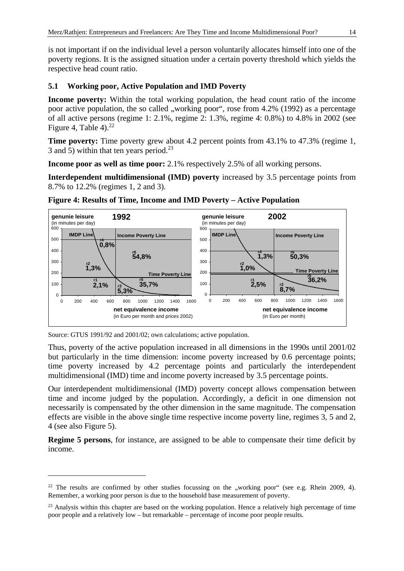is not important if on the individual level a person voluntarily allocates himself into one of the poverty regions. It is the assigned situation under a certain poverty threshold which yields the respective head count ratio.

#### **5.1 Working poor, Active Population and IMD Poverty**

**Income poverty:** Within the total working population, the head count ratio of the income poor active population, the so called , working poor", rose from  $4.2\%$  (1992) as a percentage of all active persons (regime 1: 2.1%, regime 2: 1.3%, regime 4: 0.8%) to 4.8% in 2002 (see Figure 4, Table 4). $^{22}$ 

**Time poverty:** Time poverty grew about 4.2 percent points from 43.1% to 47.3% (regime 1, 3 and 5) within that ten years period.<sup>23</sup>

**Income poor as well as time poor:** 2.1% respectively 2.5% of all working persons.

**Interdependent multidimensional (IMD) poverty** increased by 3.5 percentage points from 8.7% to 12.2% (regimes 1, 2 and 3).



**Figure 4: Results of Time, Income and IMD Poverty – Active Population** 

Source: GTUS 1991/92 and 2001/02; own calculations; active population.

1

Thus, poverty of the active population increased in all dimensions in the 1990s until 2001/02 but particularly in the time dimension: income poverty increased by 0.6 percentage points; time poverty increased by 4.2 percentage points and particularly the interdependent multidimensional (IMD) time and income poverty increased by 3.5 percentage points.

Our interdependent multidimensional (IMD) poverty concept allows compensation between time and income judged by the population. Accordingly, a deficit in one dimension not necessarily is compensated by the other dimension in the same magnitude. The compensation effects are visible in the above single time respective income poverty line, regimes 3, 5 and 2, 4 (see also Figure 5).

**Regime 5 persons**, for instance, are assigned to be able to compensate their time deficit by income.

<sup>&</sup>lt;sup>22</sup> The results are confirmed by other studies focussing on the "working poor" (see e.g. Rhein 2009, 4). Remember, a working poor person is due to the household base measurement of poverty.

<sup>&</sup>lt;sup>23</sup> Analysis within this chapter are based on the working population. Hence a relatively high percentage of time poor people and a relatively low – but remarkable – percentage of income poor people results.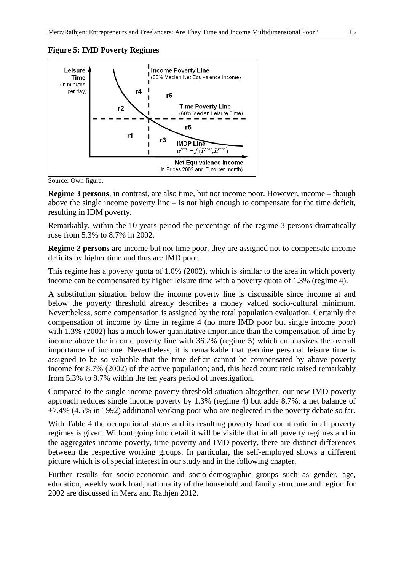#### **Figure 5: IMD Poverty Regimes**



Source: Own figure.

**Regime 3 persons**, in contrast, are also time, but not income poor. However, income – though above the single income poverty line – is not high enough to compensate for the time deficit, resulting in IDM poverty.

Remarkably, within the 10 years period the percentage of the regime 3 persons dramatically rose from 5.3% to 8.7% in 2002.

**Regime 2 persons** are income but not time poor, they are assigned not to compensate income deficits by higher time and thus are IMD poor.

This regime has a poverty quota of 1.0% (2002), which is similar to the area in which poverty income can be compensated by higher leisure time with a poverty quota of 1.3% (regime 4).

A substitution situation below the income poverty line is discussible since income at and below the poverty threshold already describes a money valued socio-cultural minimum. Nevertheless, some compensation is assigned by the total population evaluation. Certainly the compensation of income by time in regime 4 (no more IMD poor but single income poor) with 1.3% (2002) has a much lower quantitative importance than the compensation of time by income above the income poverty line with 36.2% (regime 5) which emphasizes the overall importance of income. Nevertheless, it is remarkable that genuine personal leisure time is assigned to be so valuable that the time deficit cannot be compensated by above poverty income for 8.7% (2002) of the active population; and, this head count ratio raised remarkably from 5.3% to 8.7% within the ten years period of investigation.

Compared to the single income poverty threshold situation altogether, our new IMD poverty approach reduces single income poverty by 1.3% (regime 4) but adds 8.7%; a net balance of +7.4% (4.5% in 1992) additional working poor who are neglected in the poverty debate so far.

With Table 4 the occupational status and its resulting poverty head count ratio in all poverty regimes is given. Without going into detail it will be visible that in all poverty regimes and in the aggregates income poverty, time poverty and IMD poverty, there are distinct differences between the respective working groups. In particular, the self-employed shows a different picture which is of special interest in our study and in the following chapter.

Further results for socio-economic and socio-demographic groups such as gender, age, education, weekly work load, nationality of the household and family structure and region for 2002 are discussed in Merz and Rathjen 2012.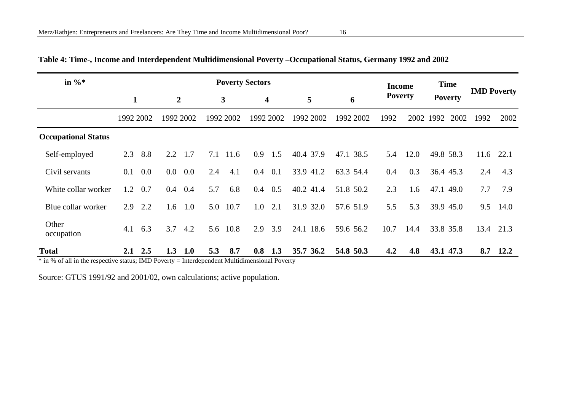| in $\%$                    | <b>Poverty Sectors</b> |                |                  |         |     |              |     | <b>Income</b>    |           | <b>Time</b> |                |      |           |                |                    |      |
|----------------------------|------------------------|----------------|------------------|---------|-----|--------------|-----|------------------|-----------|-------------|----------------|------|-----------|----------------|--------------------|------|
|                            | $\mathbf{1}$           |                | $\boldsymbol{2}$ |         |     | $\mathbf{3}$ |     | $\boldsymbol{4}$ | 5         | 6           | <b>Poverty</b> |      |           | <b>Poverty</b> | <b>IMD Poverty</b> |      |
|                            | 1992 2002              |                | 1992 2002        |         |     | 1992 2002    |     | 1992 2002        | 1992 2002 | 1992 2002   | 1992           |      | 2002 1992 | 2002           | 1992               | 2002 |
| <b>Occupational Status</b> |                        |                |                  |         |     |              |     |                  |           |             |                |      |           |                |                    |      |
| Self-employed              | 2.3                    | 8.8            | 2.2              | 1.7     | 7.1 | 11.6         | 0.9 | 1.5              | 40.4 37.9 | 47.1 38.5   | 5.4            | 12.0 | 49.8 58.3 |                | 11.6               | 22.1 |
| Civil servants             | 0.1                    | 0.0            | $0.0\,$          | $0.0\,$ | 2.4 | 4.1          | 0.4 | 0.1              | 33.9 41.2 | 63.3 54.4   | 0.4            | 0.3  | 36.4 45.3 |                | 2.4                | 4.3  |
| White collar worker        | 1.2                    | 0.7            | $0.4\phantom{0}$ | 0.4     | 5.7 | 6.8          | 0.4 | 0.5              | 40.2 41.4 | 51.8 50.2   | 2.3            | 1.6  | 47.1 49.0 |                | 7.7                | 7.9  |
| Blue collar worker         | 2.9                    | 2.2            | 1.6              | 1.0     | 5.0 | 10.7         | 1.0 | 2.1              | 31.9 32.0 | 57.6 51.9   | 5.5            | 5.3  |           | 39.9 45.0      | 9.5                | 14.0 |
| Other<br>occupation        | 4.1                    | 6.3            | 3.7              | 4.2     | 5.6 | 10.8         | 2.9 | 3.9              | 24.1 18.6 | 59.6 56.2   | 10.7           | 14.4 |           | 33.8 35.8      | 13.4               | 21.3 |
| <b>Total</b>               |                        | $2.1\quad 2.5$ | 1.3              | 1.0     | 5.3 | 8.7          | 0.8 | 1.3              | 35.7 36.2 | 54.8 50.3   | 4.2            | 4.8  | 43.1 47.3 |                | 8.7                | 12.2 |

## **Table 4: Time-, Income and Interdependent Multidimensional Poverty –Occupational Status, Germany 1992 and 2002**

\* in % of all in the respective status; IMD Poverty = Interdependent Multidimensional Poverty

Source: GTUS 1991/92 and 2001/02, own calculations; active population.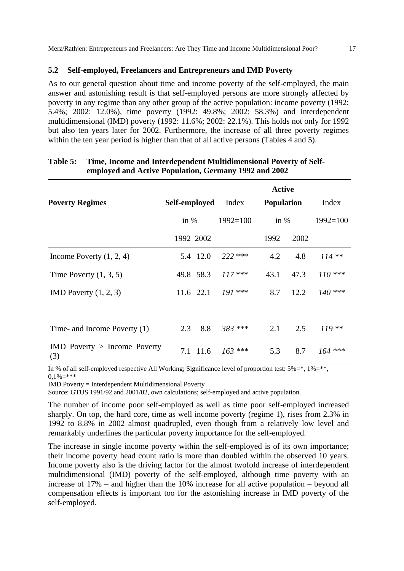#### **5.2 Self-employed, Freelancers and Entrepreneurs and IMD Poverty**

As to our general question about time and income poverty of the self-employed, the main answer and astonishing result is that self-employed persons are more strongly affected by poverty in any regime than any other group of the active population: income poverty (1992: 5.4%; 2002: 12.0%), time poverty (1992: 49.8%; 2002: 58.3%) and interdependent multidimensional (IMD) poverty (1992: 11.6%; 2002: 22.1%). This holds not only for 1992 but also ten years later for 2002. Furthermore, the increase of all three poverty regimes within the ten year period is higher than that of all active persons (Tables 4 and 5).

| <b>Poverty Regimes</b>                  | Self-employed |           | Index        | <b>Active</b><br><b>Population</b> |      | Index        |  |
|-----------------------------------------|---------------|-----------|--------------|------------------------------------|------|--------------|--|
|                                         | in $%$        |           | $1992 = 100$ | in $%$                             |      | $1992 = 100$ |  |
|                                         |               | 1992 2002 |              | 1992                               | 2002 |              |  |
| Income Poverty $(1, 2, 4)$              |               | 5.4 12.0  | $222$ ***    | 4.2                                | 4.8  | $114**$      |  |
| Time Poverty $(1, 3, 5)$                |               | 49.8 58.3 | $117***$     | 43.1                               | 47.3 | $110***$     |  |
| IMD Poverty $(1, 2, 3)$                 |               | 11.6 22.1 | $191$ ***    | 8.7                                | 12.2 | $140$ ***    |  |
| Time- and Income Poverty (1)            | 2.3           | 8.8       | 383 ***      | 2.1                                | 2.5  | $119**$      |  |
| $IMD$ Poverty $>$ Income Poverty<br>(3) |               | 7.1 11.6  | $163$ ***    | 5.3                                | 8.7  | $164$ ***    |  |

#### **Table 5: Time, Income and Interdependent Multidimensional Poverty of Selfemployed and Active Population, Germany 1992 and 2002**

In % of all self-employed respective All Working; Significance level of proportion test:  $5\% = 1\% = **$ ,  $0.1\% =$ \*\*\*

IMD Poverty = Interdependent Multidimensional Poverty

Source: GTUS 1991/92 and 2001/02, own calculations; self-employed and active population.

The number of income poor self-employed as well as time poor self-employed increased sharply. On top, the hard core, time as well income poverty (regime 1), rises from 2.3% in 1992 to 8.8% in 2002 almost quadrupled, even though from a relatively low level and remarkably underlines the particular poverty importance for the self-employed.

The increase in single income poverty within the self-employed is of its own importance; their income poverty head count ratio is more than doubled within the observed 10 years. Income poverty also is the driving factor for the almost twofold increase of interdependent multidimensional (IMD) poverty of the self-employed, although time poverty with an increase of 17% – and higher than the 10% increase for all active population – beyond all compensation effects is important too for the astonishing increase in IMD poverty of the self-employed.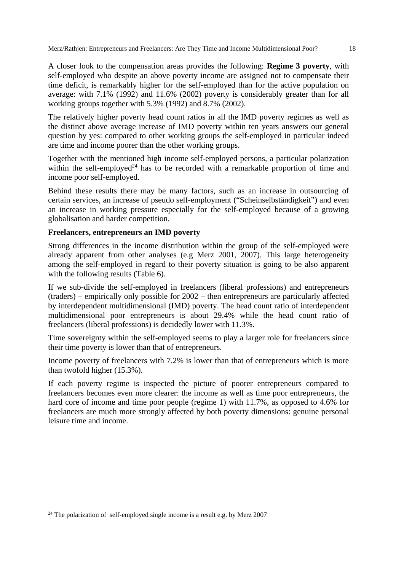A closer look to the compensation areas provides the following: **Regime 3 poverty**, with self-employed who despite an above poverty income are assigned not to compensate their time deficit, is remarkably higher for the self-employed than for the active population on average: with 7.1% (1992) and 11.6% (2002) poverty is considerably greater than for all working groups together with 5.3% (1992) and 8.7% (2002).

The relatively higher poverty head count ratios in all the IMD poverty regimes as well as the distinct above average increase of IMD poverty within ten years answers our general question by yes: compared to other working groups the self-employed in particular indeed are time and income poorer than the other working groups.

Together with the mentioned high income self-employed persons, a particular polarization within the self-employed<sup>24</sup> has to be recorded with a remarkable proportion of time and income poor self-employed.

Behind these results there may be many factors, such as an increase in outsourcing of certain services, an increase of pseudo self-employment ("Scheinselbständigkeit") and even an increase in working pressure especially for the self-employed because of a growing globalisation and harder competition.

#### **Freelancers, entrepreneurs an IMD poverty**

Strong differences in the income distribution within the group of the self-employed were already apparent from other analyses (e.g Merz 2001, 2007). This large heterogeneity among the self-employed in regard to their poverty situation is going to be also apparent with the following results (Table 6).

If we sub-divide the self-employed in freelancers (liberal professions) and entrepreneurs (traders) – empirically only possible for 2002 – then entrepreneurs are particularly affected by interdependent multidimensional (IMD) poverty. The head count ratio of interdependent multidimensional poor entrepreneurs is about 29.4% while the head count ratio of freelancers (liberal professions) is decidedly lower with 11.3%.

Time sovereignty within the self-employed seems to play a larger role for freelancers since their time poverty is lower than that of entrepreneurs.

Income poverty of freelancers with 7.2% is lower than that of entrepreneurs which is more than twofold higher (15.3%).

If each poverty regime is inspected the picture of poorer entrepreneurs compared to freelancers becomes even more clearer: the income as well as time poor entrepreneurs, the hard core of income and time poor people (regime 1) with 11.7%, as opposed to 4.6% for freelancers are much more strongly affected by both poverty dimensions: genuine personal leisure time and income.

 $24$  The polarization of self-employed single income is a result e.g. by Merz 2007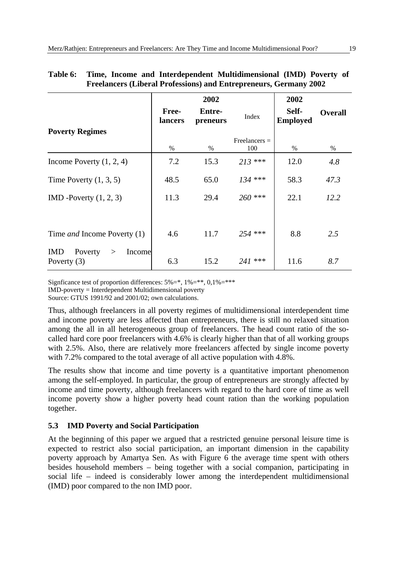|                                                       |                  | 2002                      |                        | 2002                     |                |
|-------------------------------------------------------|------------------|---------------------------|------------------------|--------------------------|----------------|
|                                                       | Free-<br>lancers | <b>Entre-</b><br>preneurs | Index                  | Self-<br><b>Employed</b> | <b>Overall</b> |
| <b>Poverty Regimes</b>                                |                  |                           |                        |                          |                |
|                                                       | $\%$             | $\%$                      | $Freelancers =$<br>100 | $\%$                     | $\%$           |
| Income Poverty $(1, 2, 4)$                            | 7.2              | 15.3                      | $213$ ***              | 12.0                     | 4.8            |
| Time Poverty $(1, 3, 5)$                              | 48.5             | 65.0                      | $134$ ***              | 58.3                     | 47.3           |
| IMD -Poverty $(1, 2, 3)$                              | 11.3             | 29.4                      | 260 ***                | 22.1                     | 12.2           |
|                                                       |                  |                           |                        |                          |                |
| Time <i>and</i> Income Poverty (1)                    | 4.6              | 11.7                      | 254 ***                | 8.8                      | 2.5            |
| <b>IMD</b><br>Poverty<br>Income<br>><br>Poverty $(3)$ | 6.3              | 15.2                      | 241 ***                | 11.6                     | 8.7            |

| Table 6: | Time, Income and Interdependent Multidimensional (IMD) Poverty of        |
|----------|--------------------------------------------------------------------------|
|          | <b>Freelancers (Liberal Professions) and Entrepreneurs, Germany 2002</b> |

Signficance test of proportion differences:  $5\% = 1\% = **.0.1\% = ***$ 

IMD-poverty = Interdependent Multidimensional poverty

Source: GTUS 1991/92 and 2001/02; own calculations.

Thus, although freelancers in all poverty regimes of multidimensional interdependent time and income poverty are less affected than entrepreneurs, there is still no relaxed situation among the all in all heterogeneous group of freelancers. The head count ratio of the socalled hard core poor freelancers with 4.6% is clearly higher than that of all working groups with 2.5%. Also, there are relatively more freelancers affected by single income poverty with 7.2% compared to the total average of all active population with 4.8%.

The results show that income and time poverty is a quantitative important phenomenon among the self-employed. In particular, the group of entrepreneurs are strongly affected by income and time poverty, although freelancers with regard to the hard core of time as well income poverty show a higher poverty head count ration than the working population together.

#### **5.3 IMD Poverty and Social Participation**

At the beginning of this paper we argued that a restricted genuine personal leisure time is expected to restrict also social participation, an important dimension in the capability poverty approach by Amartya Sen. As with Figure 6 the average time spent with others besides household members – being together with a social companion, participating in social life – indeed is considerably lower among the interdependent multidimensional (IMD) poor compared to the non IMD poor.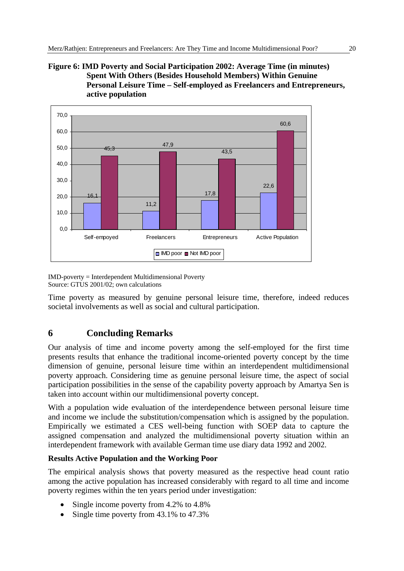#### **Figure 6: IMD Poverty and Social Participation 2002: Average Time (in minutes) Spent With Others (Besides Household Members) Within Genuine Personal Leisure Time – Self-employed as Freelancers and Entrepreneurs, active population**



IMD-poverty = Interdependent Multidimensional Poverty Source: GTUS 2001/02; own calculations

Time poverty as measured by genuine personal leisure time, therefore, indeed reduces societal involvements as well as social and cultural participation.

# **6 Concluding Remarks**

Our analysis of time and income poverty among the self-employed for the first time presents results that enhance the traditional income-oriented poverty concept by the time dimension of genuine, personal leisure time within an interdependent multidimensional poverty approach. Considering time as genuine personal leisure time, the aspect of social participation possibilities in the sense of the capability poverty approach by Amartya Sen is taken into account within our multidimensional poverty concept.

With a population wide evaluation of the interdependence between personal leisure time and income we include the substitution/compensation which is assigned by the population. Empirically we estimated a CES well-being function with SOEP data to capture the assigned compensation and analyzed the multidimensional poverty situation within an interdependent framework with available German time use diary data 1992 and 2002.

#### **Results Active Population and the Working Poor**

The empirical analysis shows that poverty measured as the respective head count ratio among the active population has increased considerably with regard to all time and income poverty regimes within the ten years period under investigation:

- Single income poverty from 4.2% to 4.8%
- Single time poverty from 43.1% to 47.3%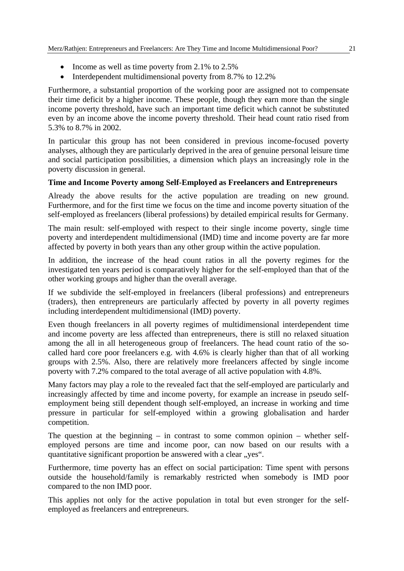- Income as well as time poverty from 2.1% to  $2.5\%$
- Interdependent multidimensional poverty from 8.7% to 12.2%

Furthermore, a substantial proportion of the working poor are assigned not to compensate their time deficit by a higher income. These people, though they earn more than the single income poverty threshold, have such an important time deficit which cannot be substituted even by an income above the income poverty threshold. Their head count ratio rised from 5.3% to 8.7% in 2002.

In particular this group has not been considered in previous income-focused poverty analyses, although they are particularly deprived in the area of genuine personal leisure time and social participation possibilities, a dimension which plays an increasingly role in the poverty discussion in general.

#### **Time and Income Poverty among Self-Employed as Freelancers and Entrepreneurs**

Already the above results for the active population are treading on new ground. Furthermore, and for the first time we focus on the time and income poverty situation of the self-employed as freelancers (liberal professions) by detailed empirical results for Germany.

The main result: self-employed with respect to their single income poverty, single time poverty and interdependent multidimensional (IMD) time and income poverty are far more affected by poverty in both years than any other group within the active population.

In addition, the increase of the head count ratios in all the poverty regimes for the investigated ten years period is comparatively higher for the self-employed than that of the other working groups and higher than the overall average.

If we subdivide the self-employed in freelancers (liberal professions) and entrepreneurs (traders), then entrepreneurs are particularly affected by poverty in all poverty regimes including interdependent multidimensional (IMD) poverty.

Even though freelancers in all poverty regimes of multidimensional interdependent time and income poverty are less affected than entrepreneurs, there is still no relaxed situation among the all in all heterogeneous group of freelancers. The head count ratio of the socalled hard core poor freelancers e.g. with 4.6% is clearly higher than that of all working groups with 2.5%. Also, there are relatively more freelancers affected by single income poverty with 7.2% compared to the total average of all active population with 4.8%.

Many factors may play a role to the revealed fact that the self-employed are particularly and increasingly affected by time and income poverty, for example an increase in pseudo selfemployment being still dependent though self-employed, an increase in working and time pressure in particular for self-employed within a growing globalisation and harder competition.

The question at the beginning – in contrast to some common opinion – whether selfemployed persons are time and income poor, can now based on our results with a quantitative significant proportion be answered with a clear "yes".

Furthermore, time poverty has an effect on social participation: Time spent with persons outside the household/family is remarkably restricted when somebody is IMD poor compared to the non IMD poor.

This applies not only for the active population in total but even stronger for the selfemployed as freelancers and entrepreneurs.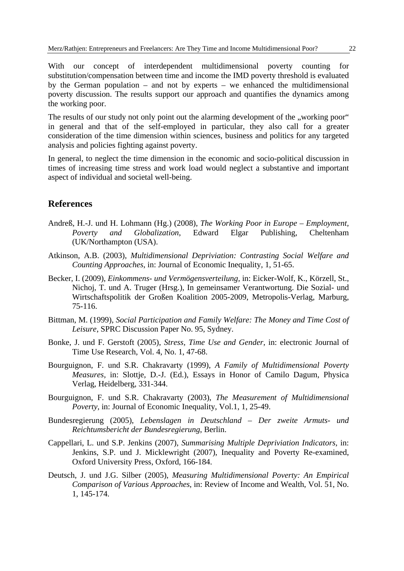With our concept of interdependent multidimensional poverty counting for substitution/compensation between time and income the IMD poverty threshold is evaluated by the German population – and not by experts – we enhanced the multidimensional poverty discussion. The results support our approach and quantifies the dynamics among the working poor.

The results of our study not only point out the alarming development of the "working poor" in general and that of the self-employed in particular, they also call for a greater consideration of the time dimension within sciences, business and politics for any targeted analysis and policies fighting against poverty.

In general, to neglect the time dimension in the economic and socio-political discussion in times of increasing time stress and work load would neglect a substantive and important aspect of individual and societal well-being.

#### **References**

- Andreß, H.-J. und H. Lohmann (Hg.) (2008), *The Working Poor in Europe Employment, Poverty and Globalization*, Edward Elgar Publishing, Cheltenham (UK/Northampton (USA).
- Atkinson, A.B. (2003), *Multidimensional Depriviation: Contrasting Social Welfare and Counting Approaches*, in: Journal of Economic Inequality, 1, 51-65.
- Becker, I. (2009), *Einkommens- und Vermögensverteilung,* in: Eicker-Wolf, K., Körzell, St., Nichoj, T. und A. Truger (Hrsg.), In gemeinsamer Verantwortung. Die Sozial- und Wirtschaftspolitik der Großen Koalition 2005-2009, Metropolis-Verlag, Marburg, 75-116.
- Bittman, M. (1999), *Social Participation and Family Welfare: The Money and Time Cost of Leisure*, SPRC Discussion Paper No. 95, Sydney.
- Bonke, J. und F. Gerstoft (2005), *Stress, Time Use and Gender*, in: electronic Journal of Time Use Research, Vol. 4, No. 1, 47-68.
- Bourguignon, F. und S.R. Chakravarty (1999), *A Family of Multidimensional Poverty Measures,* in: Slottje, D.-J. (Ed.), Essays in Honor of Camilo Dagum, Physica Verlag, Heidelberg, 331-344.
- Bourguignon, F. und S.R. Chakravarty (2003), *The Measurement of Multidimensional Poverty,* in: Journal of Economic Inequality, Vol.1, 1, 25-49.
- Bundesregierung (2005), *Lebenslagen in Deutschland Der zweite Armuts- und Reichtumsbericht der Bundesregierung*, Berlin.
- Cappellari, L. und S.P. Jenkins (2007), *Summarising Multiple Depriviation Indicators,* in: Jenkins, S.P. und J. Micklewright (2007), Inequality and Poverty Re-examined, Oxford University Press, Oxford, 166-184.
- Deutsch, J. und J.G. Silber (2005), *Measuring Multidimensional Poverty: An Empirical Comparison of Various Approaches*, in: Review of Income and Wealth, Vol. 51, No. 1, 145-174.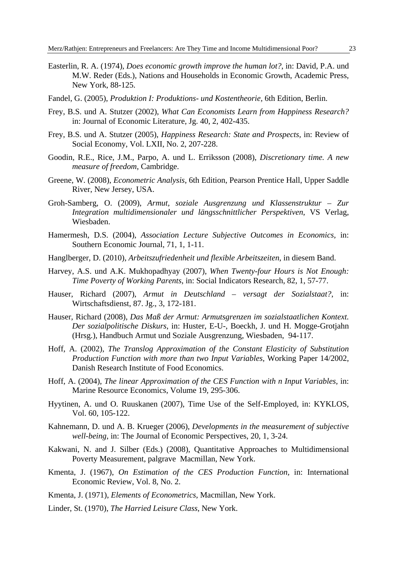- Easterlin, R. A. (1974), *Does economic growth improve the human lot?*, in: David, P.A. und M.W. Reder (Eds.), Nations and Households in Economic Growth, Academic Press, New York, 88-125.
- Fandel, G. (2005), *Produktion I: Produktions- und Kostentheorie,* 6th Edition, Berlin.
- Frey, B.S. und A. Stutzer (2002), *What Can Economists Learn from Happiness Research?*  in: Journal of Economic Literature, Jg. 40, 2, 402-435.
- Frey, B.S. und A. Stutzer (2005), *Happiness Research: State and Prospects,* in: Review of Social Economy, Vol. LXII, No. 2, 207-228.
- Goodin, R.E., Rice, J.M., Parpo, A. und L. Erriksson (2008), *Discretionary time. A new measure of freedom*, Cambridge.
- Greene, W. (2008), *Econometric Analysis*, 6th Edition, Pearson Prentice Hall, Upper Saddle River, New Jersey, USA.
- Groh-Samberg, O. (2009), *Armut, soziale Ausgrenzung und Klassenstruktur Zur Integration multidimensionaler und längsschnittlicher Perspektiven*, VS Verlag, Wiesbaden.
- Hamermesh, D.S. (2004), *Association Lecture Subjective Outcomes in Economics,* in: Southern Economic Journal, 71, 1, 1-11.
- Hanglberger, D. (2010), *Arbeitszufriedenheit und flexible Arbeitszeiten*, in diesem Band.
- Harvey, A.S. und A.K. Mukhopadhyay (2007), *When Twenty-four Hours is Not Enough: Time Poverty of Working Parents*, in: Social Indicators Research, 82, 1, 57-77.
- Hauser, Richard (2007), *Armut in Deutschland versagt der Sozialstaat?*, in: Wirtschaftsdienst, 87. Jg., 3, 172-181.
- Hauser, Richard (2008), *Das Maß der Armut: Armutsgrenzen im sozialstaatlichen Kontext. Der sozialpolitische Diskurs*, in: Huster, E-U-, Boeckh, J. und H. Mogge-Grotjahn (Hrsg.), Handbuch Armut und Soziale Ausgrenzung, Wiesbaden, 94-117.
- Hoff, A. (2002), *The Translog Approximation of the Constant Elasticity of Substitution Production Function with more than two Input Variables,* Working Paper 14/2002, Danish Research Institute of Food Economics.
- Hoff, A. (2004), *The linear Approximation of the CES Function with n Input Variables,* in: Marine Resource Economics, Volume 19, 295-306.
- Hyytinen, A. und O. Ruuskanen (2007), Time Use of the Self-Employed, in: KYKLOS, Vol. 60, 105-122.
- Kahnemann, D. und A. B. Krueger (2006), *Developments in the measurement of subjective well-being*, in: The Journal of Economic Perspectives, 20, 1, 3-24.
- Kakwani, N. and J. Silber (Eds.) (2008), Quantitative Approaches to Multidimensional Poverty Measurement, palgrave Macmillan, New York.
- Kmenta, J. (1967), *On Estimation of the CES Production Function,* in: International Economic Review, Vol. 8, No. 2.
- Kmenta, J. (1971), *Elements of Econometrics*, Macmillan, New York.
- Linder, St. (1970), *The Harried Leisure Class*, New York.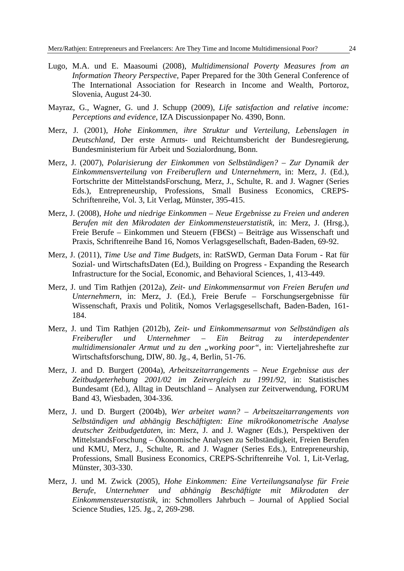- Lugo, M.A. und E. Maasoumi (2008), *Multidimensional Poverty Measures from an Information Theory Perspective,* Paper Prepared for the 30th General Conference of The International Association for Research in Income and Wealth, Portoroz, Slovenia, August 24-30.
- Mayraz, G., Wagner, G. und J. Schupp (2009), *Life satisfaction and relative income: Perceptions and evidence*, IZA Discussionpaper No. 4390, Bonn.
- Merz, J. (2001), *Hohe Einkommen, ihre Struktur und Verteilung, Lebenslagen in Deutschland,* Der erste Armuts- und Reichtumsbericht der Bundesregierung, Bundesministerium für Arbeit und Sozialordnung, Bonn.
- Merz, J. (2007), *Polarisierung der Einkommen von Selbständigen? Zur Dynamik der Einkommensverteilung von Freiberuflern und Unternehmern*, in: Merz, J. (Ed.), Fortschritte der MittelstandsForschung, Merz, J., Schulte, R. and J. Wagner (Series Eds.), Entrepreneurship, Professions, Small Business Economics, CREPS-Schriftenreihe, Vol. 3, Lit Verlag, Münster, 395-415.
- Merz, J. (2008), *Hohe und niedrige Einkommen Neue Ergebnisse zu Freien und anderen Berufen mit den Mikrodaten der Einkommensteuerstatistik,* in: Merz, J. (Hrsg.), Freie Berufe – Einkommen und Steuern (FB€St) – Beiträge aus Wissenschaft und Praxis, Schriftenreihe Band 16, Nomos Verlagsgesellschaft, Baden-Baden, 69-92.
- Merz, J. (2011), *Time Use and Time Budgets*, in: RatSWD, German Data Forum Rat für Sozial- und WirtschaftsDaten (Ed.), Building on Progress - Expanding the Research Infrastructure for the Social, Economic, and Behavioral Sciences, 1, 413-449.
- Merz, J. und Tim Rathjen (2012a), *Zeit- und Einkommensarmut von Freien Berufen und Unternehmern*, in: Merz, J. (Ed.), Freie Berufe – Forschungsergebnisse für Wissenschaft, Praxis und Politik, Nomos Verlagsgesellschaft, Baden-Baden, 161- 184.
- Merz, J. und Tim Rathjen (2012b), *Zeit- und Einkommensarmut von Selbständigen als Freiberufler und Unternehmer – Ein Beitrag zu interdependenter multidimensionaler Armut und zu den "working poor"*, in: Vierteljahreshefte zur Wirtschaftsforschung, DIW, 80. Jg., 4, Berlin, 51-76.
- Merz, J. and D. Burgert (2004a), *Arbeitszeitarrangements Neue Ergebnisse aus der Zeitbudgeterhebung 2001/02 im Zeitvergleich zu 1991/92*, in: Statistisches Bundesamt (Ed.), Alltag in Deutschland – Analysen zur Zeitverwendung, FORUM Band 43, Wiesbaden, 304-336.
- Merz, J. und D. Burgert (2004b), *Wer arbeitet wann? Arbeitszeitarrangements von Selbständigen und abhängig Beschäftigten: Eine mikroökonometrische Analyse deutscher Zeitbudgetdaten*, in: Merz, J. and J. Wagner (Eds.), Perspektiven der MittelstandsForschung – Ökonomische Analysen zu Selbständigkeit, Freien Berufen und KMU, Merz, J., Schulte, R. and J. Wagner (Series Eds.), Entrepreneurship, Professions, Small Business Economics, CREPS-Schriftenreihe Vol. 1, Lit-Verlag, Münster, 303-330.
- Merz, J. und M. Zwick (2005), *Hohe Einkommen: Eine Verteilungsanalyse für Freie Berufe, Unternehmer und abhängig Beschäftigte mit Mikrodaten der Einkommensteuerstatistik,* in: Schmollers Jahrbuch – Journal of Applied Social Science Studies, 125. Jg., 2, 269-298.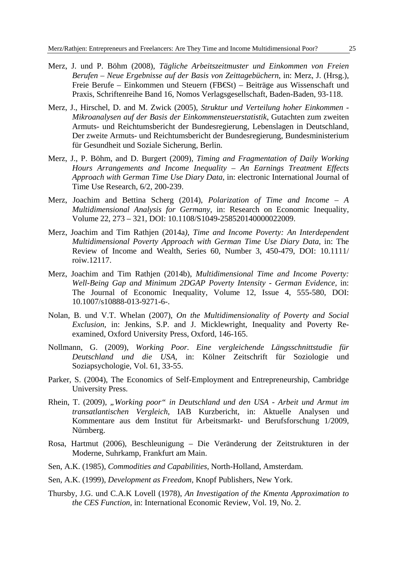- Merz, J. und P. Böhm (2008), *Tägliche Arbeitszeitmuster und Einkommen von Freien Berufen – Neue Ergebnisse auf der Basis von Zeittagebüchern*, in: Merz, J. (Hrsg.), Freie Berufe – Einkommen und Steuern (FB€St) – Beiträge aus Wissenschaft und Praxis, Schriftenreihe Band 16, Nomos Verlagsgesellschaft, Baden-Baden, 93-118.
- Merz, J., Hirschel, D. and M. Zwick (2005), *Struktur und Verteilung hoher Einkommen Mikroanalysen auf der Basis der Einkommensteuerstatistik*, Gutachten zum zweiten Armuts- und Reichtumsbericht der Bundesregierung, Lebenslagen in Deutschland, Der zweite Armuts- und Reichtumsbericht der Bundesregierung, Bundesministerium für Gesundheit und Soziale Sicherung, Berlin.
- Merz, J., P. Böhm, and D. Burgert (2009), *Timing and Fragmentation of Daily Working Hours Arrangements and Income Inequality – An Earnings Treatment Effects Approach with German Time Use Diary Data*, in: electronic International Journal of Time Use Research, 6/2, 200-239.
- Merz, Joachim and Bettina Scherg (2014), *Polarization of Time and Income A Multidimensional Analysis for Germany*, in: Research on Economic Inequality, Volume 22, 273 – 321, DOI: 10.1108/S1049-258520140000022009.
- Merz, Joachim and Tim Rathjen (2014a*), Time and Income Poverty: An Interdependent Multidimensional Poverty Approach with German Time Use Diary Data*, in: The Review of Income and Wealth, Series 60, Number 3, 450-479, DOI: 10.1111/ roiw.12117.
- Merz, Joachim and Tim Rathjen (2014b), *Multidimensional Time and Income Poverty: Well-Being Gap and Minimum 2DGAP Poverty Intensity - German Evidence*, in: The Journal of Economic Inequality, Volume 12, Issue 4, 555-580, DOI: 10.1007/s10888-013-9271-6-.
- Nolan, B. und V.T. Whelan (2007), *On the Multidimensionality of Poverty and Social Exclusion*, in: Jenkins, S.P. and J. Micklewright, Inequality and Poverty Reexamined, Oxford University Press, Oxford, 146-165.
- Nollmann, G. (2009), *Working Poor. Eine vergleichende Längsschnittstudie für Deutschland und die USA*, in: Kölner Zeitschrift für Soziologie und Soziapsychologie, Vol. 61, 33-55.
- Parker, S. (2004), The Economics of Self-Employment and Entrepreneurship, Cambridge University Press.
- Rhein, T. (2009), "Working poor" in Deutschland und den USA Arbeit und Armut im *transatlantischen Vergleich*, IAB Kurzbericht, in: Aktuelle Analysen und Kommentare aus dem Institut für Arbeitsmarkt- und Berufsforschung 1/2009, Nürnberg.
- Rosa, Hartmut (2006), Beschleunigung Die Veränderung der Zeitstrukturen in der Moderne, Suhrkamp, Frankfurt am Main.
- Sen, A.K. (1985), *Commodities and Capabilities,* North-Holland, Amsterdam.
- Sen, A.K. (1999), *Development as Freedom,* Knopf Publishers, New York.
- Thursby, J.G. und C.A.K Lovell (1978), *An Investigation of the Kmenta Approximation to the CES Function,* in: International Economic Review, Vol. 19, No. 2.